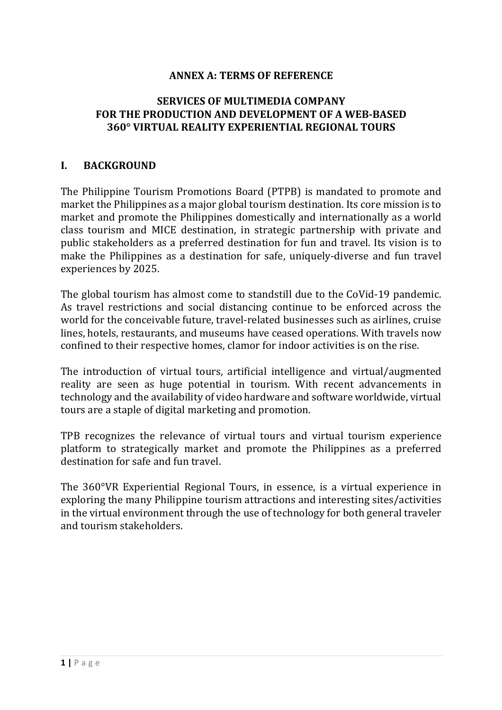#### **ANNEX A: TERMS OF REFERENCE**

#### **SERVICES OF MULTIMEDIA COMPANY FOR THE PRODUCTION AND DEVELOPMENT OF A WEB-BASED 360° VIRTUAL REALITY EXPERIENTIAL REGIONAL TOURS**

#### **I. BACKGROUND**

The Philippine Tourism Promotions Board (PTPB) is mandated to promote and market the Philippines as a major global tourism destination. Its core mission is to market and promote the Philippines domestically and internationally as a world class tourism and MICE destination, in strategic partnership with private and public stakeholders as a preferred destination for fun and travel. Its vision is to make the Philippines as a destination for safe, uniquely-diverse and fun travel experiences by 2025.

The global tourism has almost come to standstill due to the CoVid-19 pandemic. As travel restrictions and social distancing continue to be enforced across the world for the conceivable future, travel-related businesses such as airlines, cruise lines, hotels, restaurants, and museums have ceased operations. With travels now confined to their respective homes, clamor for indoor activities is on the rise.

The introduction of virtual tours, artificial intelligence and virtual/augmented reality are seen as huge potential in tourism. With recent advancements in technology and the availability of video hardware and software worldwide, virtual tours are a staple of digital marketing and promotion.

TPB recognizes the relevance of virtual tours and virtual tourism experience platform to strategically market and promote the Philippines as a preferred destination for safe and fun travel.

The  $360^{\circ}$ VR Experiential Regional Tours, in essence, is a virtual experience in exploring the many Philippine tourism attractions and interesting sites/activities in the virtual environment through the use of technology for both general traveler and tourism stakeholders.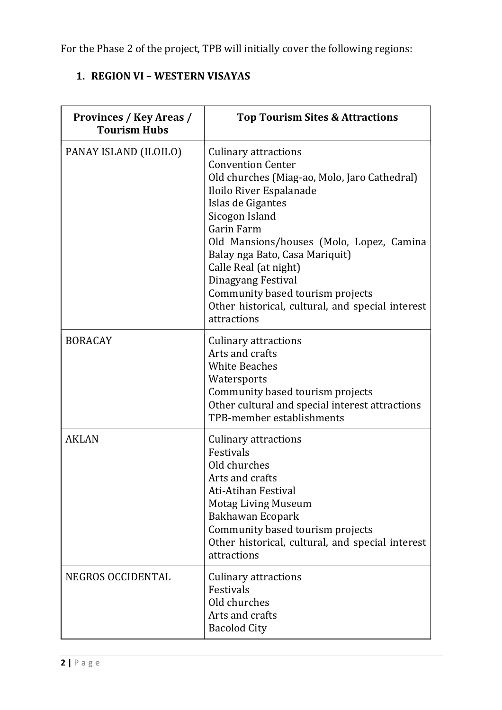For the Phase 2 of the project, TPB will initially cover the following regions:

# **1. REGION VI - WESTERN VISAYAS**

| <b>Provinces / Key Areas /</b><br><b>Tourism Hubs</b> | <b>Top Tourism Sites &amp; Attractions</b>                                                                                                                                                                                                                                                                                                                                                                                         |
|-------------------------------------------------------|------------------------------------------------------------------------------------------------------------------------------------------------------------------------------------------------------------------------------------------------------------------------------------------------------------------------------------------------------------------------------------------------------------------------------------|
| PANAY ISLAND (ILOILO)                                 | <b>Culinary attractions</b><br><b>Convention Center</b><br>Old churches (Miag-ao, Molo, Jaro Cathedral)<br>Iloilo River Espalanade<br>Islas de Gigantes<br>Sicogon Island<br><b>Garin Farm</b><br>Old Mansions/houses (Molo, Lopez, Camina<br>Balay nga Bato, Casa Mariquit)<br>Calle Real (at night)<br>Dinagyang Festival<br>Community based tourism projects<br>Other historical, cultural, and special interest<br>attractions |
| <b>BORACAY</b>                                        | <b>Culinary attractions</b><br>Arts and crafts<br><b>White Beaches</b><br>Watersports<br>Community based tourism projects<br>Other cultural and special interest attractions<br>TPB-member establishments                                                                                                                                                                                                                          |
| <b>AKLAN</b>                                          | <b>Culinary attractions</b><br>Festivals<br>Old churches<br>Arts and crafts<br><b>Ati-Atihan Festival</b><br><b>Motag Living Museum</b><br>Bakhawan Ecopark<br>Community based tourism projects<br>Other historical, cultural, and special interest<br>attractions                                                                                                                                                                 |
| NEGROS OCCIDENTAL                                     | <b>Culinary attractions</b><br>Festivals<br>Old churches<br>Arts and crafts<br><b>Bacolod City</b>                                                                                                                                                                                                                                                                                                                                 |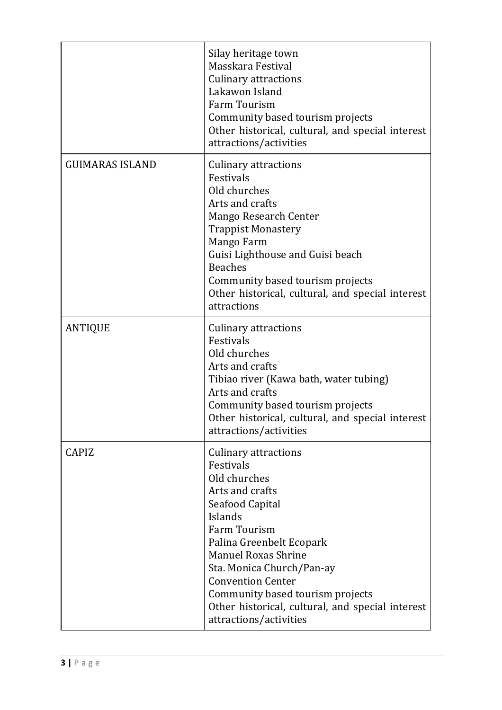|                        | Silay heritage town<br>Masskara Festival<br>Culinary attractions<br>Lakawon Island<br><b>Farm Tourism</b><br>Community based tourism projects<br>Other historical, cultural, and special interest<br>attractions/activities                                                                                                                                    |
|------------------------|----------------------------------------------------------------------------------------------------------------------------------------------------------------------------------------------------------------------------------------------------------------------------------------------------------------------------------------------------------------|
| <b>GUIMARAS ISLAND</b> | Culinary attractions<br>Festivals<br>Old churches<br>Arts and crafts<br><b>Mango Research Center</b><br><b>Trappist Monastery</b><br>Mango Farm<br>Guisi Lighthouse and Guisi beach<br><b>Beaches</b><br>Community based tourism projects<br>Other historical, cultural, and special interest<br>attractions                                                   |
| <b>ANTIQUE</b>         | Culinary attractions<br>Festivals<br>Old churches<br>Arts and crafts<br>Tibiao river (Kawa bath, water tubing)<br>Arts and crafts<br>Community based tourism projects<br>Other historical, cultural, and special interest<br>attractions/activities                                                                                                            |
| <b>CAPIZ</b>           | Culinary attractions<br>Festivals<br>Old churches<br>Arts and crafts<br>Seafood Capital<br>Islands<br><b>Farm Tourism</b><br>Palina Greenbelt Ecopark<br><b>Manuel Roxas Shrine</b><br>Sta. Monica Church/Pan-ay<br><b>Convention Center</b><br>Community based tourism projects<br>Other historical, cultural, and special interest<br>attractions/activities |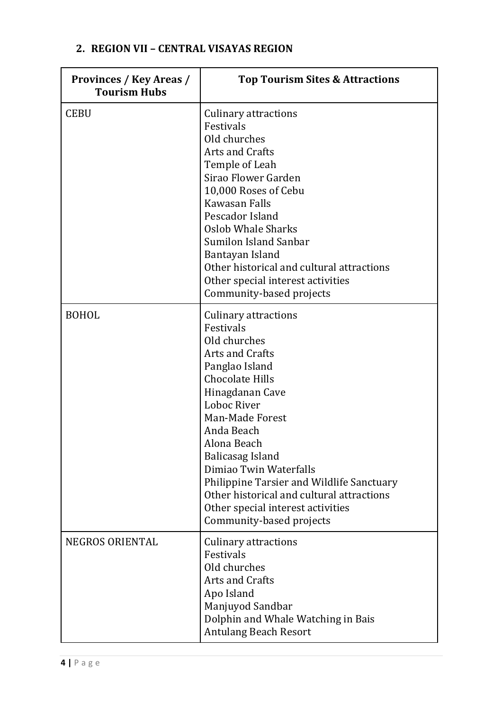## **2. REGION VII – CENTRAL VISAYAS REGION**

| <b>Provinces / Key Areas /</b><br><b>Tourism Hubs</b> | <b>Top Tourism Sites &amp; Attractions</b>                                                                                                                                                                                                                                                                                                                                                                                |
|-------------------------------------------------------|---------------------------------------------------------------------------------------------------------------------------------------------------------------------------------------------------------------------------------------------------------------------------------------------------------------------------------------------------------------------------------------------------------------------------|
| <b>CEBU</b>                                           | <b>Culinary attractions</b><br>Festivals<br>Old churches<br><b>Arts and Crafts</b><br>Temple of Leah<br>Sirao Flower Garden<br>10,000 Roses of Cebu<br>Kawasan Falls<br>Pescador Island<br><b>Oslob Whale Sharks</b><br><b>Sumilon Island Sanbar</b><br>Bantayan Island<br>Other historical and cultural attractions<br>Other special interest activities<br>Community-based projects                                     |
| <b>BOHOL</b>                                          | Culinary attractions<br>Festivals<br>Old churches<br><b>Arts and Crafts</b><br>Panglao Island<br><b>Chocolate Hills</b><br>Hinagdanan Cave<br>Loboc River<br>Man-Made Forest<br>Anda Beach<br>Alona Beach<br>Balicasag Island<br>Dimiao Twin Waterfalls<br><b>Philippine Tarsier and Wildlife Sanctuary</b><br>Other historical and cultural attractions<br>Other special interest activities<br>Community-based projects |
| <b>NEGROS ORIENTAL</b>                                | Culinary attractions<br>Festivals<br>Old churches<br><b>Arts and Crafts</b><br>Apo Island<br>Manjuyod Sandbar<br>Dolphin and Whale Watching in Bais<br><b>Antulang Beach Resort</b>                                                                                                                                                                                                                                       |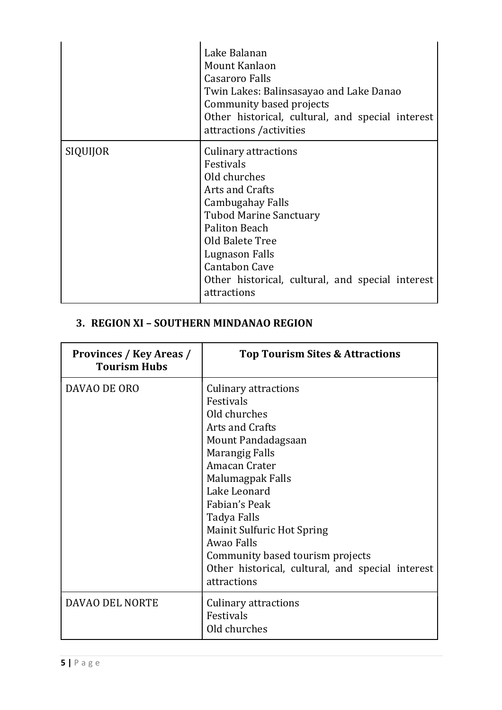|          | Lake Balanan<br>Mount Kanlaon<br><b>Casaroro Falls</b><br>Twin Lakes: Balinsasayao and Lake Danao<br>Community based projects<br>Other historical, cultural, and special interest<br>attractions / activities                                                              |
|----------|----------------------------------------------------------------------------------------------------------------------------------------------------------------------------------------------------------------------------------------------------------------------------|
| SIQUIJOR | Culinary attractions<br>Festivals<br>Old churches<br>Arts and Crafts<br>Cambugahay Falls<br><b>Tubod Marine Sanctuary</b><br>Paliton Beach<br>Old Balete Tree<br>Lugnason Falls<br><b>Cantabon Cave</b><br>Other historical, cultural, and special interest<br>attractions |

# **3. REGION XI – SOUTHERN MINDANAO REGION**

| <b>Provinces / Key Areas /</b><br><b>Tourism Hubs</b> | <b>Top Tourism Sites &amp; Attractions</b>                                                                                                                                                                                                                                                                                                                                |
|-------------------------------------------------------|---------------------------------------------------------------------------------------------------------------------------------------------------------------------------------------------------------------------------------------------------------------------------------------------------------------------------------------------------------------------------|
| DAVAO DE ORO                                          | Culinary attractions<br>Festivals<br>Old churches<br><b>Arts and Crafts</b><br>Mount Pandadagsaan<br><b>Marangig Falls</b><br>Amacan Crater<br>Malumagpak Falls<br>Lake Leonard<br>Fabian's Peak<br>Tadya Falls<br><b>Mainit Sulfuric Hot Spring</b><br>Awao Falls<br>Community based tourism projects<br>Other historical, cultural, and special interest<br>attractions |
| DAVAO DEL NORTE                                       | Culinary attractions<br>Festivals<br>Old churches                                                                                                                                                                                                                                                                                                                         |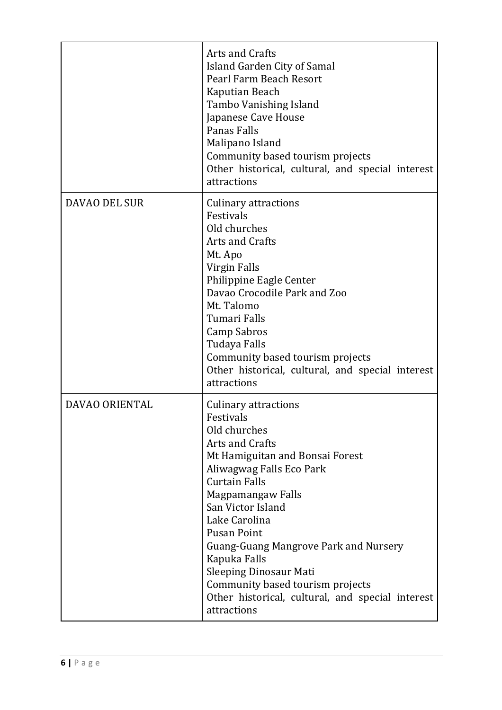|                       | Arts and Crafts<br>Island Garden City of Samal<br>Pearl Farm Beach Resort<br>Kaputian Beach<br>Tambo Vanishing Island<br>Japanese Cave House<br>Panas Falls<br>Malipano Island<br>Community based tourism projects<br>Other historical, cultural, and special interest<br>attractions                                                                                                                                                                       |
|-----------------------|-------------------------------------------------------------------------------------------------------------------------------------------------------------------------------------------------------------------------------------------------------------------------------------------------------------------------------------------------------------------------------------------------------------------------------------------------------------|
| DAVAO DEL SUR         | <b>Culinary attractions</b><br>Festivals<br>Old churches<br>Arts and Crafts<br>Mt. Apo<br>Virgin Falls<br>Philippine Eagle Center<br>Davao Crocodile Park and Zoo<br>Mt. Talomo<br>Tumari Falls<br>Camp Sabros<br>Tudaya Falls<br>Community based tourism projects<br>Other historical, cultural, and special interest<br>attractions                                                                                                                       |
| <b>DAVAO ORIENTAL</b> | Culinary attractions<br>Festivals<br>Old churches<br><b>Arts and Crafts</b><br>Mt Hamiguitan and Bonsai Forest<br>Aliwagwag Falls Eco Park<br><b>Curtain Falls</b><br>Magpamangaw Falls<br>San Victor Island<br>Lake Carolina<br><b>Pusan Point</b><br><b>Guang-Guang Mangrove Park and Nursery</b><br>Kapuka Falls<br><b>Sleeping Dinosaur Mati</b><br>Community based tourism projects<br>Other historical, cultural, and special interest<br>attractions |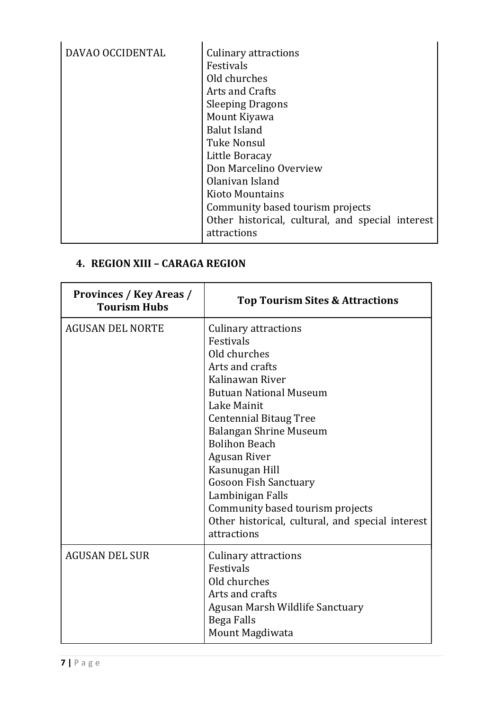## **4. REGION XIII – CARAGA REGION**

| Provinces / Key Areas /<br><b>Tourism Hubs</b> | <b>Top Tourism Sites &amp; Attractions</b>                                                                                                                                                                                                                                                                                                                                                                                                   |
|------------------------------------------------|----------------------------------------------------------------------------------------------------------------------------------------------------------------------------------------------------------------------------------------------------------------------------------------------------------------------------------------------------------------------------------------------------------------------------------------------|
| <b>AGUSAN DEL NORTE</b>                        | <b>Culinary attractions</b><br>Festivals<br>Old churches<br>Arts and crafts<br>Kalinawan River<br><b>Butuan National Museum</b><br>Lake Mainit<br><b>Centennial Bitaug Tree</b><br><b>Balangan Shrine Museum</b><br><b>Bolihon Beach</b><br><b>Agusan River</b><br>Kasunugan Hill<br><b>Gosoon Fish Sanctuary</b><br>Lambinigan Falls<br>Community based tourism projects<br>Other historical, cultural, and special interest<br>attractions |
| <b>AGUSAN DEL SUR</b>                          | <b>Culinary attractions</b><br>Festivals<br>Old churches<br>Arts and crafts<br>Agusan Marsh Wildlife Sanctuary<br><b>Bega Falls</b><br>Mount Magdiwata                                                                                                                                                                                                                                                                                       |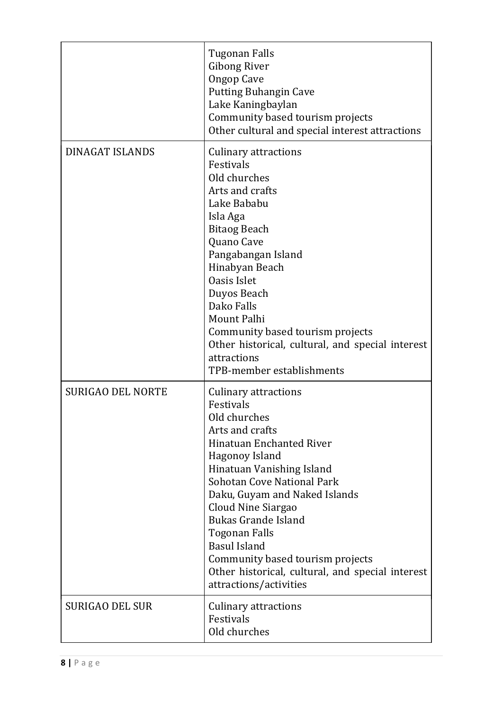|                          | Tugonan Falls<br><b>Gibong River</b><br><b>Ongop Cave</b><br><b>Putting Buhangin Cave</b><br>Lake Kaningbaylan<br>Community based tourism projects<br>Other cultural and special interest attractions                                                                                                                                                                                                                                             |
|--------------------------|---------------------------------------------------------------------------------------------------------------------------------------------------------------------------------------------------------------------------------------------------------------------------------------------------------------------------------------------------------------------------------------------------------------------------------------------------|
| <b>DINAGAT ISLANDS</b>   | <b>Culinary attractions</b><br>Festivals<br>Old churches<br>Arts and crafts<br>Lake Bababu<br>Isla Aga<br><b>Bitaog Beach</b><br>Quano Cave<br>Pangabangan Island<br>Hinabyan Beach<br><b>Oasis Islet</b><br>Duyos Beach<br>Dako Falls<br>Mount Palhi<br>Community based tourism projects<br>Other historical, cultural, and special interest<br>attractions<br>TPB-member establishments                                                         |
| <b>SURIGAO DEL NORTE</b> | Culinary attractions<br>Festivals<br>Old churches<br>Arts and crafts<br><b>Hinatuan Enchanted River</b><br>Hagonoy Island<br>Hinatuan Vanishing Island<br><b>Sohotan Cove National Park</b><br>Daku, Guyam and Naked Islands<br>Cloud Nine Siargao<br><b>Bukas Grande Island</b><br><b>Togonan Falls</b><br><b>Basul Island</b><br>Community based tourism projects<br>Other historical, cultural, and special interest<br>attractions/activities |
| <b>SURIGAO DEL SUR</b>   | <b>Culinary attractions</b><br>Festivals<br>Old churches                                                                                                                                                                                                                                                                                                                                                                                          |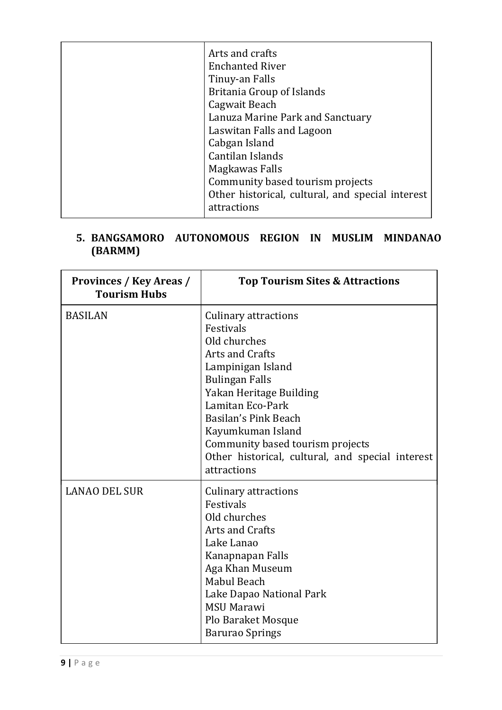| Arts and crafts<br><b>Enchanted River</b><br>Tinuy-an Falls<br>Britania Group of Islands<br>Cagwait Beach<br>Lanuza Marine Park and Sanctuary<br>Laswitan Falls and Lagoon<br>Cabgan Island |
|---------------------------------------------------------------------------------------------------------------------------------------------------------------------------------------------|
| Cantilan Islands<br>Magkawas Falls<br>Community based tourism projects                                                                                                                      |
| Other historical, cultural, and special interest<br>attractions                                                                                                                             |

## **5. BANGSAMORO AUTONOMOUS REGION IN MUSLIM MINDANAO (BARMM)**

| <b>Provinces / Key Areas /</b><br><b>Tourism Hubs</b> | <b>Top Tourism Sites &amp; Attractions</b>                                                                                                                                                                                                                                                                                          |
|-------------------------------------------------------|-------------------------------------------------------------------------------------------------------------------------------------------------------------------------------------------------------------------------------------------------------------------------------------------------------------------------------------|
| <b>BASILAN</b>                                        | <b>Culinary attractions</b><br>Festivals<br>Old churches<br><b>Arts and Crafts</b><br>Lampinigan Island<br><b>Bulingan Falls</b><br>Yakan Heritage Building<br>Lamitan Eco-Park<br>Basilan's Pink Beach<br>Kayumkuman Island<br>Community based tourism projects<br>Other historical, cultural, and special interest<br>attractions |
| <b>LANAO DEL SUR</b>                                  | Culinary attractions<br>Festivals<br>Old churches<br><b>Arts and Crafts</b><br>Lake Lanao<br>Kanapnapan Falls<br>Aga Khan Museum<br>Mabul Beach<br>Lake Dapao National Park<br><b>MSU Marawi</b><br><b>Plo Baraket Mosque</b><br><b>Barurao Springs</b>                                                                             |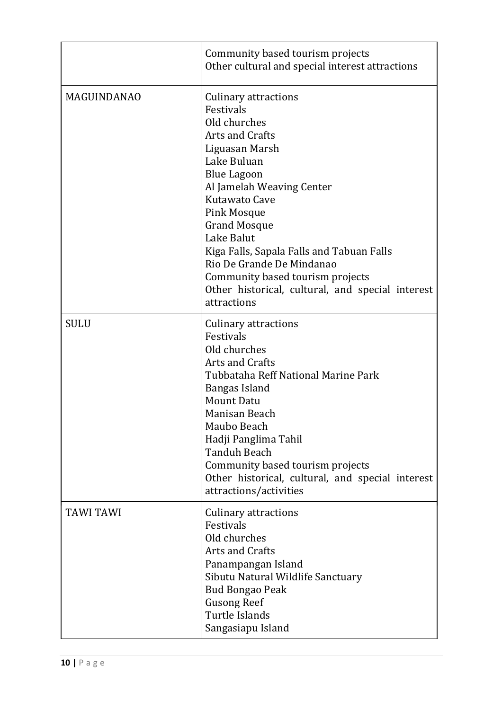|                    | Community based tourism projects<br>Other cultural and special interest attractions                                                                                                                                                                                                                                                                                                                                                 |
|--------------------|-------------------------------------------------------------------------------------------------------------------------------------------------------------------------------------------------------------------------------------------------------------------------------------------------------------------------------------------------------------------------------------------------------------------------------------|
| <b>MAGUINDANAO</b> | <b>Culinary attractions</b><br>Festivals<br>Old churches<br><b>Arts and Crafts</b><br>Liguasan Marsh<br>Lake Buluan<br><b>Blue Lagoon</b><br>Al Jamelah Weaving Center<br>Kutawato Cave<br><b>Pink Mosque</b><br><b>Grand Mosque</b><br>Lake Balut<br>Kiga Falls, Sapala Falls and Tabuan Falls<br>Rio De Grande De Mindanao<br>Community based tourism projects<br>Other historical, cultural, and special interest<br>attractions |
| <b>SULU</b>        | <b>Culinary attractions</b><br>Festivals<br>Old churches<br>Arts and Crafts<br>Tubbataha Reff National Marine Park<br>Bangas Island<br><b>Mount Datu</b><br>Manisan Beach<br>Maubo Beach<br>Hadji Panglima Tahil<br><b>Tanduh Beach</b><br>Community based tourism projects<br>Other historical, cultural, and special interest<br>attractions/activities                                                                           |
| <b>TAWI TAWI</b>   | Culinary attractions<br>Festivals<br>Old churches<br><b>Arts and Crafts</b><br>Panampangan Island<br>Sibutu Natural Wildlife Sanctuary<br><b>Bud Bongao Peak</b><br><b>Gusong Reef</b><br>Turtle Islands<br>Sangasiapu Island                                                                                                                                                                                                       |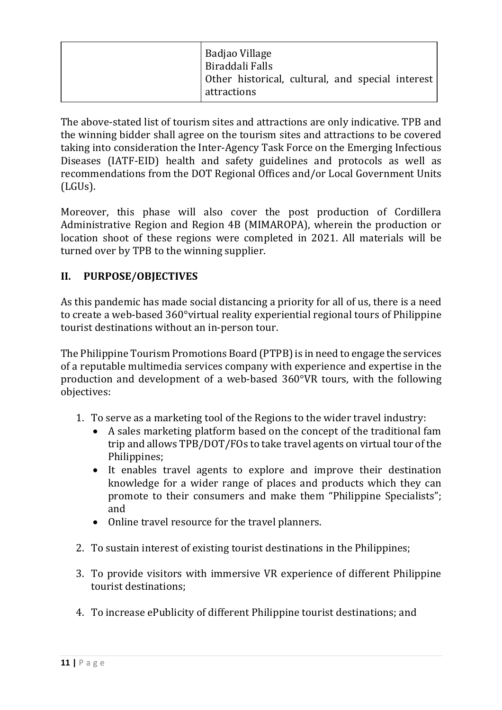| Badjao Village<br>Biraddali Falls<br>  Other historical, cultural, and special interest<br>attractions |
|--------------------------------------------------------------------------------------------------------|
|                                                                                                        |

The above-stated list of tourism sites and attractions are only indicative. TPB and the winning bidder shall agree on the tourism sites and attractions to be covered taking into consideration the Inter-Agency Task Force on the Emerging Infectious Diseases (IATF-EID) health and safety guidelines and protocols as well as recommendations from the DOT Regional Offices and/or Local Government Units (LGUs).

Moreover, this phase will also cover the post production of Cordillera Administrative Region and Region 4B (MIMAROPA), wherein the production or location shoot of these regions were completed in 2021. All materials will be turned over by TPB to the winning supplier.

## **II. PURPOSE/OBJECTIVES**

As this pandemic has made social distancing a priority for all of us, there is a need to create a web-based 360°virtual reality experiential regional tours of Philippine tourist destinations without an in-person tour.

The Philippine Tourism Promotions Board (PTPB) is in need to engage the services of a reputable multimedia services company with experience and expertise in the production and development of a web-based 360°VR tours, with the following objectives:

- 1. To serve as a marketing tool of the Regions to the wider travel industry:
	- A sales marketing platform based on the concept of the traditional fam trip and allows TPB/DOT/FOs to take travel agents on virtual tour of the Philippines;
	- It enables travel agents to explore and improve their destination knowledge for a wider range of places and products which they can promote to their consumers and make them "Philippine Specialists"; and
	- Online travel resource for the travel planners.
- 2. To sustain interest of existing tourist destinations in the Philippines;
- 3. To provide visitors with immersive VR experience of different Philippine tourist destinations:
- 4. To increase ePublicity of different Philippine tourist destinations; and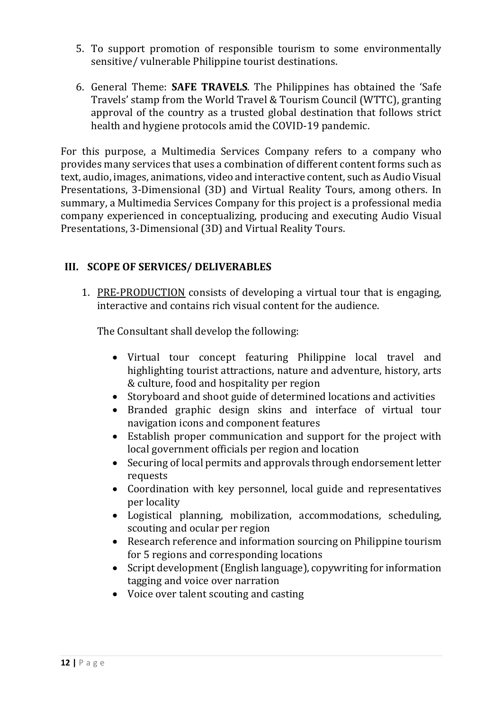- 5. To support promotion of responsible tourism to some environmentally sensitive/ vulnerable Philippine tourist destinations.
- 6. General Theme: **SAFE TRAVELS**. The Philippines has obtained the 'Safe Travels' stamp from the World Travel & Tourism Council (WTTC), granting approval of the country as a trusted global destination that follows strict health and hygiene protocols amid the COVID-19 pandemic.

For this purpose, a Multimedia Services Company refers to a company who provides many services that uses a combination of different content forms such as text, audio, images, animations, video and interactive content, such as Audio Visual Presentations, 3-Dimensional (3D) and Virtual Reality Tours, among others. In summary, a Multimedia Services Company for this project is a professional media company experienced in conceptualizing, producing and executing Audio Visual Presentations, 3-Dimensional (3D) and Virtual Reality Tours.

#### **III. SCOPE OF SERVICES/ DELIVERABLES**

1. PRE-PRODUCTION consists of developing a virtual tour that is engaging, interactive and contains rich visual content for the audience.

The Consultant shall develop the following:

- Virtual tour concept featuring Philippine local travel and highlighting tourist attractions, nature and adventure, history, arts & culture, food and hospitality per region
- Storyboard and shoot guide of determined locations and activities
- Branded graphic design skins and interface of virtual tour navigation icons and component features
- Establish proper communication and support for the project with local government officials per region and location
- Securing of local permits and approvals through endorsement letter requests
- Coordination with key personnel, local guide and representatives per locality
- Logistical planning, mobilization, accommodations, scheduling, scouting and ocular per region
- Research reference and information sourcing on Philippine tourism for 5 regions and corresponding locations
- Script development (English language), copywriting for information tagging and voice over narration
- Voice over talent scouting and casting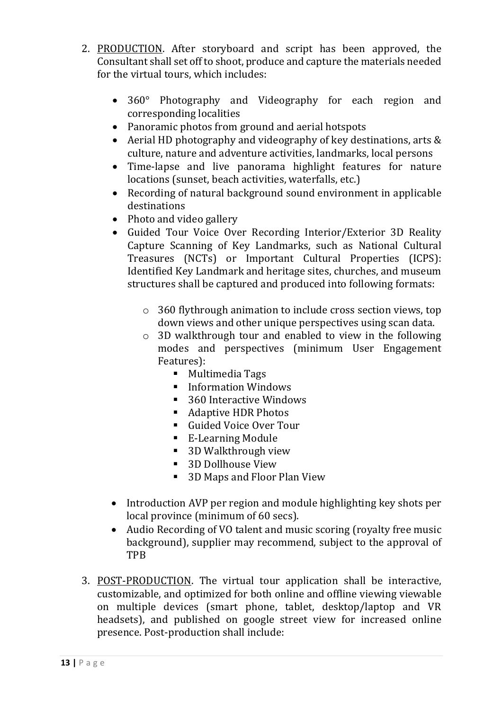- 2. PRODUCTION. After storyboard and script has been approved, the Consultant shall set off to shoot, produce and capture the materials needed for the virtual tours, which includes:
	- 360° Photography and Videography for each region and corresponding localities
	- Panoramic photos from ground and aerial hotspots
	- Aerial HD photography and videography of key destinations, arts & culture, nature and adventure activities, landmarks, local persons
	- Time-lapse and live panorama highlight features for nature locations (sunset, beach activities, waterfalls, etc.)
	- Recording of natural background sound environment in applicable destinations
	- Photo and video gallery
	- Guided Tour Voice Over Recording Interior/Exterior 3D Reality Capture Scanning of Key Landmarks, such as National Cultural Treasures (NCTs) or Important Cultural Properties (ICPS): Identified Key Landmark and heritage sites, churches, and museum structures shall be captured and produced into following formats:
		- $\circ$  360 flythrough animation to include cross section views, top down views and other unique perspectives using scan data.
		- $\circ$  3D walkthrough tour and enabled to view in the following modes and perspectives (minimum User Engagement Features):
			- Multimedia Tags
			- Information Windows
			- 360 Interactive Windows
			- Adaptive HDR Photos
			- Guided Voice Over Tour
			- E-Learning Module
			- 3D Walkthrough view
			- 3D Dollhouse View
			- 3D Maps and Floor Plan View
	- Introduction AVP per region and module highlighting key shots per local province (minimum of 60 secs).
	- Audio Recording of VO talent and music scoring (royalty free music background), supplier may recommend, subject to the approval of TPB
- 3. POST-PRODUCTION. The virtual tour application shall be interactive, customizable, and optimized for both online and offline viewing viewable on multiple devices (smart phone, tablet, desktop/laptop and VR headsets), and published on google street view for increased online presence. Post-production shall include: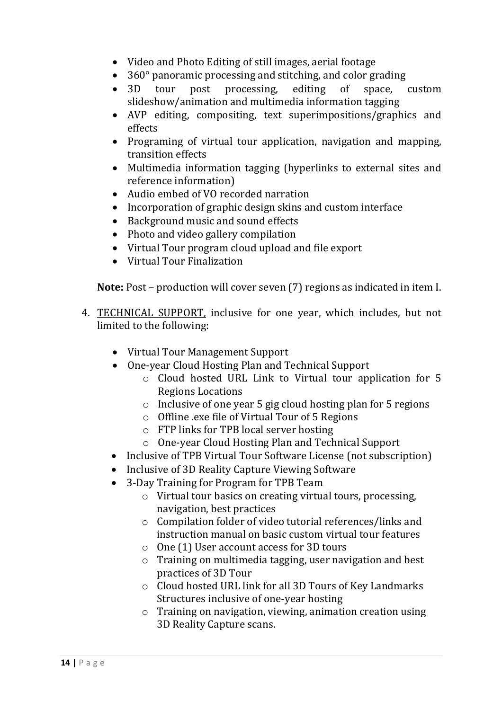- Video and Photo Editing of still images, aerial footage
- 360° panoramic processing and stitching, and color grading
- 3D tour post processing, editing of space, custom slideshow/animation and multimedia information tagging
- AVP editing, compositing, text superimpositions/graphics and effects
- Programing of virtual tour application, navigation and mapping, transition effects
- Multimedia information tagging (hyperlinks to external sites and reference information)
- Audio embed of VO recorded narration
- Incorporation of graphic design skins and custom interface
- Background music and sound effects
- Photo and video gallery compilation
- Virtual Tour program cloud upload and file export
- Virtual Tour Finalization

**Note:** Post – production will cover seven (7) regions as indicated in item I.

- 4. TECHNICAL SUPPORT, inclusive for one year, which includes, but not limited to the following:
	- Virtual Tour Management Support
	- One-year Cloud Hosting Plan and Technical Support
		- $\circ$  Cloud hosted URL Link to Virtual tour application for 5 Regions Locations
		- $\circ$  Inclusive of one year 5 gig cloud hosting plan for 5 regions
		- $\circ$  Offline .exe file of Virtual Tour of 5 Regions
		- $\circ$  FTP links for TPB local server hosting
		- o One-year Cloud Hosting Plan and Technical Support
	- Inclusive of TPB Virtual Tour Software License (not subscription)
	- Inclusive of 3D Reality Capture Viewing Software
	- 3-Day Training for Program for TPB Team
		- $\circ$  Virtual tour basics on creating virtual tours, processing, navigation, best practices
		- $\circ$  Compilation folder of video tutorial references/links and instruction manual on basic custom virtual tour features
		- $\circ$  One (1) User account access for 3D tours
		- $\circ$  Training on multimedia tagging, user navigation and best practices of 3D Tour
		- $\circ$  Cloud hosted URL link for all 3D Tours of Key Landmarks Structures inclusive of one-year hosting
		- $\circ$  Training on navigation, viewing, animation creation using 3D Reality Capture scans.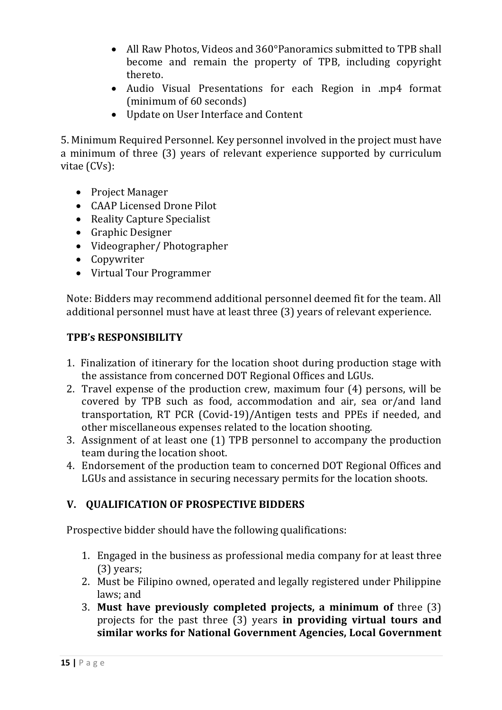- All Raw Photos, Videos and 360°Panoramics submitted to TPB shall become and remain the property of TPB, including copyright thereto.
- Audio Visual Presentations for each Region in .mp4 format (minimum of 60 seconds)
- Update on User Interface and Content

5. Minimum Required Personnel. Key personnel involved in the project must have a minimum of three (3) years of relevant experience supported by curriculum vitae $(CVs)$ :

- Project Manager
- CAAP Licensed Drone Pilot
- Reality Capture Specialist
- Graphic Designer
- Videographer/ Photographer
- Copywriter
- Virtual Tour Programmer

Note: Bidders may recommend additional personnel deemed fit for the team. All additional personnel must have at least three (3) years of relevant experience.

#### **TPB's RESPONSIBILITY**

- 1. Finalization of itinerary for the location shoot during production stage with the assistance from concerned DOT Regional Offices and LGUs.
- 2. Travel expense of the production crew, maximum four  $(4)$  persons, will be covered by TPB such as food, accommodation and air, sea or/and land transportation, RT PCR (Covid-19)/Antigen tests and PPEs if needed, and other miscellaneous expenses related to the location shooting.
- 3. Assignment of at least one (1) TPB personnel to accompany the production team during the location shoot.
- 4. Endorsement of the production team to concerned DOT Regional Offices and LGUs and assistance in securing necessary permits for the location shoots.

#### **V. QUALIFICATION OF PROSPECTIVE BIDDERS**

Prospective bidder should have the following qualifications:

- 1. Engaged in the business as professional media company for at least three  $(3)$  years;
- 2. Must be Filipino owned, operated and legally registered under Philippine laws; and
- **3. Must have previously completed projects, a minimum of** three (3) projects for the past three (3) years in providing virtual tours and similar works for National Government Agencies, Local Government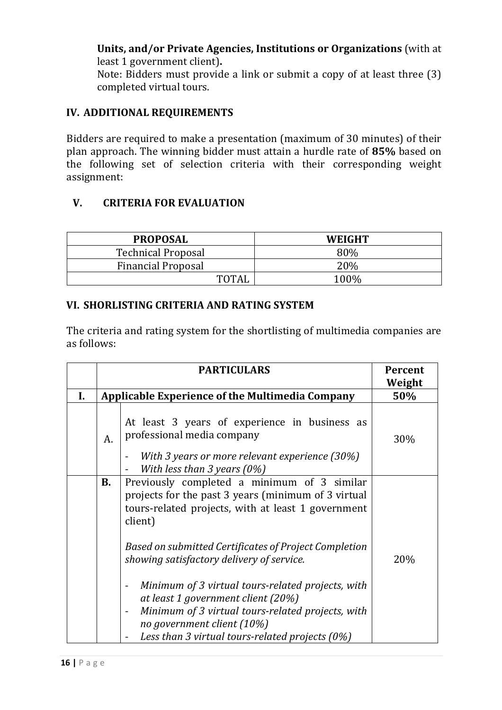**Units, and/or Private Agencies, Institutions or Organizations** (with at least 1 government client).

Note: Bidders must provide a link or submit a copy of at least three  $(3)$ completed virtual tours.

#### **IV. ADDITIONAL REQUIREMENTS**

Bidders are required to make a presentation (maximum of 30 minutes) of their plan approach. The winning bidder must attain a hurdle rate of 85% based on the following set of selection criteria with their corresponding weight assignment:

#### **V. CRITERIA FOR EVALUATION**

| <b>PROPOSAL</b>           | <b>WEIGHT</b> |
|---------------------------|---------------|
| <b>Technical Proposal</b> | 80%           |
| <b>Financial Proposal</b> | <b>20%</b>    |
| TOTAI                     | 100%          |

#### **VI. SHORLISTING CRITERIA AND RATING SYSTEM**

The criteria and rating system for the shortlisting of multimedia companies are as follows:

|    |             | <b>PARTICULARS</b>                                                                                                                                                                                                                                                                                                                                                                                                                                                                                            | Percent<br>Weight |
|----|-------------|---------------------------------------------------------------------------------------------------------------------------------------------------------------------------------------------------------------------------------------------------------------------------------------------------------------------------------------------------------------------------------------------------------------------------------------------------------------------------------------------------------------|-------------------|
| I. |             | <b>Applicable Experience of the Multimedia Company</b>                                                                                                                                                                                                                                                                                                                                                                                                                                                        | 50%               |
|    | $A_{\cdot}$ | At least 3 years of experience in business as<br>professional media company<br>With 3 years or more relevant experience (30%)<br>With less than 3 years $(0\%)$                                                                                                                                                                                                                                                                                                                                               | 30%               |
|    | В.          | Previously completed a minimum of 3 similar<br>projects for the past 3 years (minimum of 3 virtual<br>tours-related projects, with at least 1 government<br>client)<br>Based on submitted Certificates of Project Completion<br>showing satisfactory delivery of service.<br>Minimum of 3 virtual tours-related projects, with<br>at least 1 government client (20%)<br>Minimum of 3 virtual tours-related projects, with<br>no government client (10%)<br>Less than 3 virtual tours-related projects $(0\%)$ | 20%               |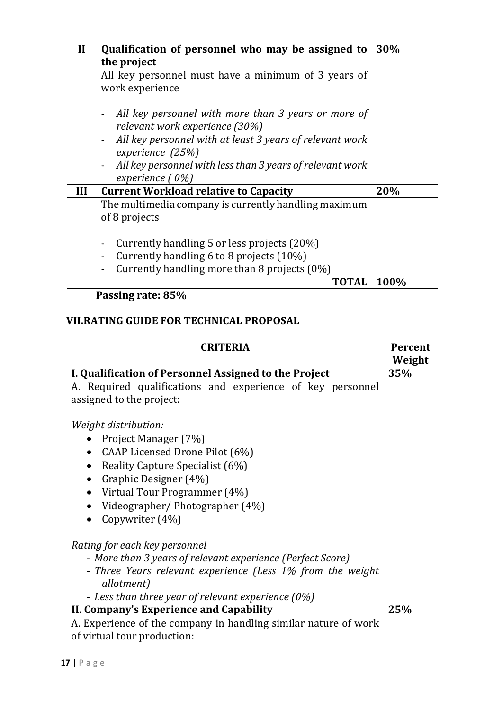| $\mathbf{I}$ | Qualification of personnel who may be assigned to                                                                                                      | 30%  |
|--------------|--------------------------------------------------------------------------------------------------------------------------------------------------------|------|
|              | the project                                                                                                                                            |      |
|              | All key personnel must have a minimum of 3 years of<br>work experience                                                                                 |      |
|              | All key personnel with more than 3 years or more of<br>-<br>relevant work experience (30%)<br>All key personnel with at least 3 years of relevant work |      |
|              | -<br>experience (25%)                                                                                                                                  |      |
|              | All key personnel with less than 3 years of relevant work<br>-<br>experience $(0%)$                                                                    |      |
| Ш            | <b>Current Workload relative to Capacity</b>                                                                                                           | 20%  |
|              | The multimedia company is currently handling maximum<br>of 8 projects                                                                                  |      |
|              | Currently handling 5 or less projects (20%)                                                                                                            |      |
|              | Currently handling 6 to 8 projects (10%)                                                                                                               |      |
|              | Currently handling more than 8 projects (0%)                                                                                                           |      |
|              | TOTAL                                                                                                                                                  | 100% |

 **Passing rate: 85%**

## **VII.RATING GUIDE FOR TECHNICAL PROPOSAL**

| <b>CRITERIA</b>                                                                                                                                                                                                                 | <b>Percent</b><br>Weight |
|---------------------------------------------------------------------------------------------------------------------------------------------------------------------------------------------------------------------------------|--------------------------|
| I. Qualification of Personnel Assigned to the Project                                                                                                                                                                           | 35%                      |
| A. Required qualifications and experience of key personnel<br>assigned to the project:                                                                                                                                          |                          |
| Weight distribution:<br>Project Manager (7%)<br>CAAP Licensed Drone Pilot (6%)<br>Reality Capture Specialist (6%)<br>Graphic Designer (4%)<br>Virtual Tour Programmer (4%)<br>Videographer/Photographer (4%)<br>Copywriter (4%) |                          |
| Rating for each key personnel<br>- More than 3 years of relevant experience (Perfect Score)<br>- Three Years relevant experience (Less 1% from the weight<br>allotment)<br>- Less than three year of relevant experience (0%)   |                          |
| II. Company's Experience and Capability                                                                                                                                                                                         | 25%                      |
| A. Experience of the company in handling similar nature of work<br>of virtual tour production:                                                                                                                                  |                          |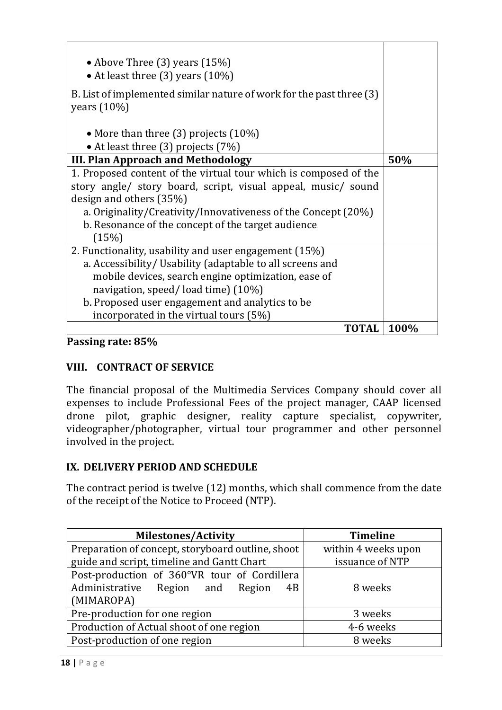| • Above Three $(3)$ years $(15%)$<br>• At least three (3) years (10%)                                                                                                                                                                                                                                        |      |
|--------------------------------------------------------------------------------------------------------------------------------------------------------------------------------------------------------------------------------------------------------------------------------------------------------------|------|
| B. List of implemented similar nature of work for the past three (3)<br>years $(10\%)$                                                                                                                                                                                                                       |      |
| • More than three $(3)$ projects $(10\%)$<br>• At least three (3) projects (7%)                                                                                                                                                                                                                              |      |
| III. Plan Approach and Methodology                                                                                                                                                                                                                                                                           | 50%  |
| 1. Proposed content of the virtual tour which is composed of the<br>story angle/ story board, script, visual appeal, music/ sound<br>design and others (35%)<br>a. Originality/Creativity/Innovativeness of the Concept (20%)<br>b. Resonance of the concept of the target audience<br>(15%)                 |      |
| 2. Functionality, usability and user engagement (15%)<br>a. Accessibility/ Usability (adaptable to all screens and<br>mobile devices, search engine optimization, ease of<br>navigation, speed/load time) (10%)<br>b. Proposed user engagement and analytics to be<br>incorporated in the virtual tours (5%) |      |
| TOTAL                                                                                                                                                                                                                                                                                                        | 100% |

#### **Passing rate: 85%**

#### **VIII. CONTRACT OF SERVICE**

The financial proposal of the Multimedia Services Company should cover all expenses to include Professional Fees of the project manager, CAAP licensed drone pilot, graphic designer, reality capture specialist, copywriter, videographer/photographer, virtual tour programmer and other personnel involved in the project.

#### **IX. DELIVERY PERIOD AND SCHEDULE**

The contract period is twelve (12) months, which shall commence from the date of the receipt of the Notice to Proceed (NTP).

| <b>Milestones/Activity</b>                        | <b>Timeline</b>     |
|---------------------------------------------------|---------------------|
| Preparation of concept, storyboard outline, shoot | within 4 weeks upon |
| guide and script, timeline and Gantt Chart        | issuance of NTP     |
| Post-production of 360°VR tour of Cordillera      |                     |
| Administrative Region and Region<br>4B            | 8 weeks             |
| (MIMAROPA)                                        |                     |
| Pre-production for one region                     | 3 weeks             |
| Production of Actual shoot of one region          | 4-6 weeks           |
| Post-production of one region                     | 8 weeks             |